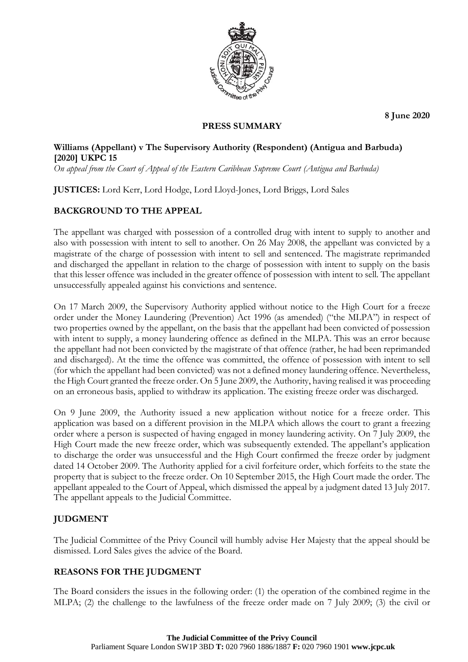

**8 June 2020**

# **PRESS SUMMARY**

### **Williams (Appellant) v The Supervisory Authority (Respondent) (Antigua and Barbuda) [2020] UKPC 15**

*On appeal from the Court of Appeal of the Eastern Caribbean Supreme Court (Antigua and Barbuda)*

**JUSTICES:** Lord Kerr, Lord Hodge, Lord Lloyd-Jones, Lord Briggs, Lord Sales

## **BACKGROUND TO THE APPEAL**

The appellant was charged with possession of a controlled drug with intent to supply to another and also with possession with intent to sell to another. On 26 May 2008, the appellant was convicted by a magistrate of the charge of possession with intent to sell and sentenced. The magistrate reprimanded and discharged the appellant in relation to the charge of possession with intent to supply on the basis that this lesser offence was included in the greater offence of possession with intent to sell. The appellant unsuccessfully appealed against his convictions and sentence.

On 17 March 2009, the Supervisory Authority applied without notice to the High Court for a freeze order under the Money Laundering (Prevention) Act 1996 (as amended) ("the MLPA") in respect of two properties owned by the appellant, on the basis that the appellant had been convicted of possession with intent to supply, a money laundering offence as defined in the MLPA. This was an error because the appellant had not been convicted by the magistrate of that offence (rather, he had been reprimanded and discharged). At the time the offence was committed, the offence of possession with intent to sell (for which the appellant had been convicted) was not a defined money laundering offence. Nevertheless, the High Court granted the freeze order. On 5 June 2009, the Authority, having realised it was proceeding on an erroneous basis, applied to withdraw its application. The existing freeze order was discharged.

On 9 June 2009, the Authority issued a new application without notice for a freeze order. This application was based on a different provision in the MLPA which allows the court to grant a freezing order where a person is suspected of having engaged in money laundering activity. On 7 July 2009, the High Court made the new freeze order, which was subsequently extended. The appellant's application to discharge the order was unsuccessful and the High Court confirmed the freeze order by judgment dated 14 October 2009. The Authority applied for a civil forfeiture order, which forfeits to the state the property that is subject to the freeze order. On 10 September 2015, the High Court made the order. The appellant appealed to the Court of Appeal, which dismissed the appeal by a judgment dated 13 July 2017. The appellant appeals to the Judicial Committee.

### **JUDGMENT**

The Judicial Committee of the Privy Council will humbly advise Her Majesty that the appeal should be dismissed. Lord Sales gives the advice of the Board.

### **REASONS FOR THE JUDGMENT**

The Board considers the issues in the following order: (1) the operation of the combined regime in the MLPA; (2) the challenge to the lawfulness of the freeze order made on 7 July 2009; (3) the civil or